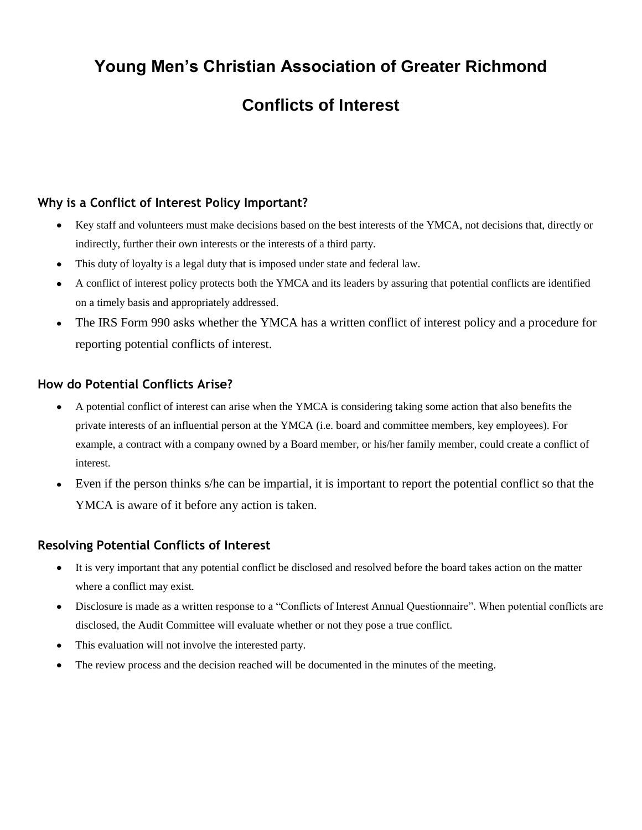# **Young Men's Christian Association of Greater Richmond**

# **Conflicts of Interest**

# **Why is a Conflict of Interest Policy Important?**

- Key staff and volunteers must make decisions based on the best interests of the YMCA, not decisions that, directly or indirectly, further their own interests or the interests of a third party.
- This duty of loyalty is a legal duty that is imposed under state and federal law.
- A conflict of interest policy protects both the YMCA and its leaders by assuring that potential conflicts are identified on a timely basis and appropriately addressed.
- The IRS Form 990 asks whether the YMCA has a written conflict of interest policy and a procedure for reporting potential conflicts of interest.

# **How do Potential Conflicts Arise?**

- A potential conflict of interest can arise when the YMCA is considering taking some action that also benefits the private interests of an influential person at the YMCA (i.e. board and committee members, key employees). For example, a contract with a company owned by a Board member, or his/her family member, could create a conflict of interest.
- Even if the person thinks s/he can be impartial, it is important to report the potential conflict so that the YMCA is aware of it before any action is taken.

# **Resolving Potential Conflicts of Interest**

- It is very important that any potential conflict be disclosed and resolved before the board takes action on the matter  $\bullet$ where a conflict may exist.
- Disclosure is made as a written response to a "Conflicts of Interest Annual Questionnaire". When potential conflicts are  $\bullet$ disclosed, the Audit Committee will evaluate whether or not they pose a true conflict.
- This evaluation will not involve the interested party.
- The review process and the decision reached will be documented in the minutes of the meeting.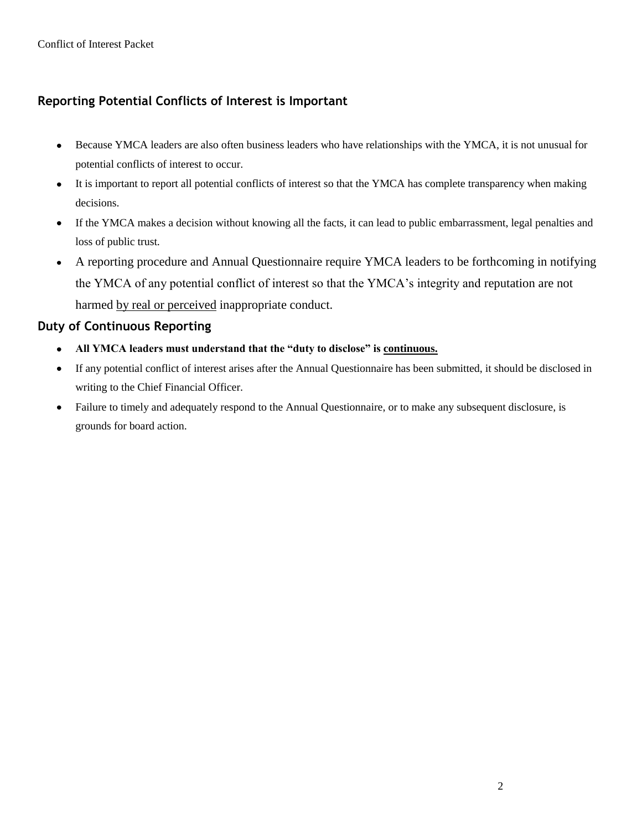# **Reporting Potential Conflicts of Interest is Important**

- Because YMCA leaders are also often business leaders who have relationships with the YMCA, it is not unusual for  $\bullet$ potential conflicts of interest to occur.
- It is important to report all potential conflicts of interest so that the YMCA has complete transparency when making  $\bullet$ decisions.
- If the YMCA makes a decision without knowing all the facts, it can lead to public embarrassment, legal penalties and  $\bullet$ loss of public trust.
- A reporting procedure and Annual Questionnaire require YMCA leaders to be forthcoming in notifying  $\bullet$ the YMCA of any potential conflict of interest so that the YMCA's integrity and reputation are not harmed by real or perceived inappropriate conduct.

# **Duty of Continuous Reporting**

- $\bullet$ **All YMCA leaders must understand that the "duty to disclose" is continuous.**
- $\bullet$ If any potential conflict of interest arises after the Annual Questionnaire has been submitted, it should be disclosed in writing to the Chief Financial Officer.
- Failure to timely and adequately respond to the Annual Questionnaire, or to make any subsequent disclosure, is  $\bullet$ grounds for board action.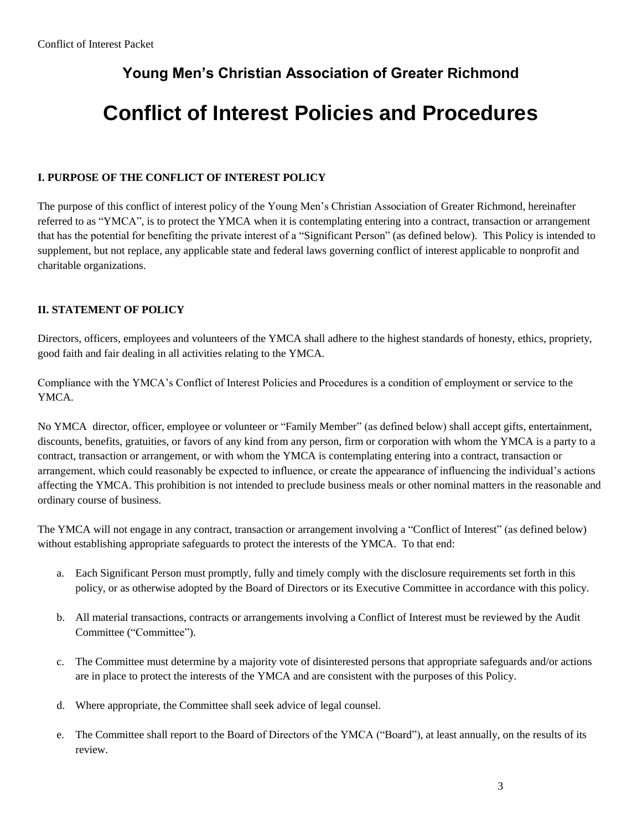# **Young Men's Christian Association of Greater Richmond**

# **Conflict of Interest Policies and Procedures**

#### **I. PURPOSE OF THE CONFLICT OF INTEREST POLICY**

The purpose of this conflict of interest policy of the Young Men's Christian Association of Greater Richmond, hereinafter referred to as "YMCA", is to protect the YMCA when it is contemplating entering into a contract, transaction or arrangement that has the potential for benefiting the private interest of a "Significant Person" (as defined below). This Policy is intended to supplement, but not replace, any applicable state and federal laws governing conflict of interest applicable to nonprofit and charitable organizations.

#### **II. STATEMENT OF POLICY**

Directors, officers, employees and volunteers of the YMCA shall adhere to the highest standards of honesty, ethics, propriety, good faith and fair dealing in all activities relating to the YMCA.

Compliance with the YMCA's Conflict of Interest Policies and Procedures is a condition of employment or service to the YMCA.

No YMCA director, officer, employee or volunteer or "Family Member" (as defined below) shall accept gifts, entertainment, discounts, benefits, gratuities, or favors of any kind from any person, firm or corporation with whom the YMCA is a party to a contract, transaction or arrangement, or with whom the YMCA is contemplating entering into a contract, transaction or arrangement, which could reasonably be expected to influence, or create the appearance of influencing the individual's actions affecting the YMCA. This prohibition is not intended to preclude business meals or other nominal matters in the reasonable and ordinary course of business.

The YMCA will not engage in any contract, transaction or arrangement involving a "Conflict of Interest" (as defined below) without establishing appropriate safeguards to protect the interests of the YMCA. To that end:

- a. Each Significant Person must promptly, fully and timely comply with the disclosure requirements set forth in this policy, or as otherwise adopted by the Board of Directors or its Executive Committee in accordance with this policy.
- b. All material transactions, contracts or arrangements involving a Conflict of Interest must be reviewed by the Audit Committee ("Committee").
- c. The Committee must determine by a majority vote of disinterested persons that appropriate safeguards and/or actions are in place to protect the interests of the YMCA and are consistent with the purposes of this Policy.
- d. Where appropriate, the Committee shall seek advice of legal counsel.
- e. The Committee shall report to the Board of Directors of the YMCA ("Board"), at least annually, on the results of its review.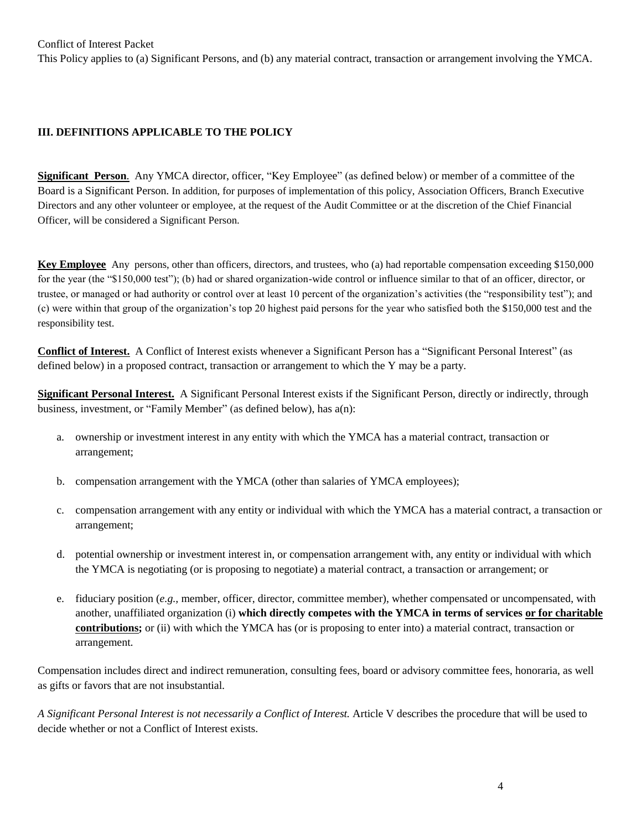### **III. DEFINITIONS APPLICABLE TO THE POLICY**

**Significant Person**. Any YMCA director, officer, "Key Employee" (as defined below) or member of a committee of the Board is a Significant Person. In addition, for purposes of implementation of this policy, Association Officers, Branch Executive Directors and any other volunteer or employee, at the request of the Audit Committee or at the discretion of the Chief Financial Officer, will be considered a Significant Person.

**Key Employee** Any persons, other than officers, directors, and trustees, who (a) had reportable compensation exceeding \$150,000 for the year (the "\$150,000 test"); (b) had or shared organization-wide control or influence similar to that of an officer, director, or trustee, or managed or had authority or control over at least 10 percent of the organization's activities (the "responsibility test"); and (c) were within that group of the organization's top 20 highest paid persons for the year who satisfied both the \$150,000 test and the responsibility test.

**Conflict of Interest.** A Conflict of Interest exists whenever a Significant Person has a "Significant Personal Interest" (as defined below) in a proposed contract, transaction or arrangement to which the Y may be a party.

**Significant Personal Interest.** A Significant Personal Interest exists if the Significant Person, directly or indirectly, through business, investment, or "Family Member" (as defined below), has a(n):

- a. ownership or investment interest in any entity with which the YMCA has a material contract, transaction or arrangement;
- b. compensation arrangement with the YMCA (other than salaries of YMCA employees);
- c. compensation arrangement with any entity or individual with which the YMCA has a material contract, a transaction or arrangement;
- d. potential ownership or investment interest in, or compensation arrangement with, any entity or individual with which the YMCA is negotiating (or is proposing to negotiate) a material contract, a transaction or arrangement; or
- e. fiduciary position (*e.g.,* member, officer, director, committee member), whether compensated or uncompensated, with another, unaffiliated organization (i) **which directly competes with the YMCA in terms of services or for charitable contributions;** or (ii) with which the YMCA has (or is proposing to enter into) a material contract, transaction or arrangement.

Compensation includes direct and indirect remuneration, consulting fees, board or advisory committee fees, honoraria, as well as gifts or favors that are not insubstantial.

*A Significant Personal Interest is not necessarily a Conflict of Interest.* Article V describes the procedure that will be used to decide whether or not a Conflict of Interest exists.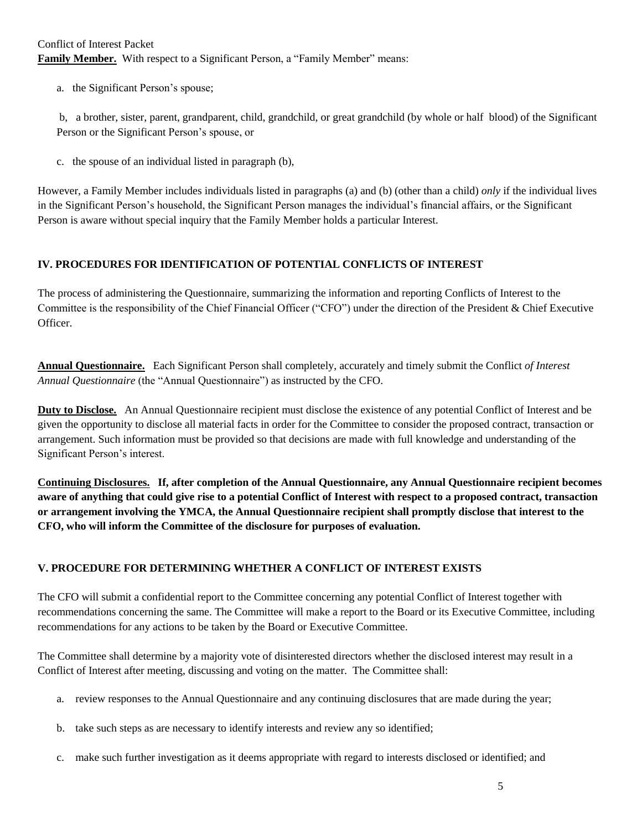a. the Significant Person's spouse;

b, a brother, sister, parent, grandparent, child, grandchild, or great grandchild (by whole or half blood) of the Significant Person or the Significant Person's spouse, or

c. the spouse of an individual listed in paragraph (b),

However, a Family Member includes individuals listed in paragraphs (a) and (b) (other than a child) *only* if the individual lives in the Significant Person's household, the Significant Person manages the individual's financial affairs, or the Significant Person is aware without special inquiry that the Family Member holds a particular Interest.

#### **IV. PROCEDURES FOR IDENTIFICATION OF POTENTIAL CONFLICTS OF INTEREST**

The process of administering the Questionnaire, summarizing the information and reporting Conflicts of Interest to the Committee is the responsibility of the Chief Financial Officer ("CFO") under the direction of the President & Chief Executive Officer.

**Annual Questionnaire.** Each Significant Person shall completely, accurately and timely submit the Conflict *of Interest Annual Questionnaire* (the "Annual Questionnaire") as instructed by the CFO.

**Duty to Disclose.** An Annual Questionnaire recipient must disclose the existence of any potential Conflict of Interest and be given the opportunity to disclose all material facts in order for the Committee to consider the proposed contract, transaction or arrangement. Such information must be provided so that decisions are made with full knowledge and understanding of the Significant Person's interest.

**Continuing Disclosures. If, after completion of the Annual Questionnaire, any Annual Questionnaire recipient becomes aware of anything that could give rise to a potential Conflict of Interest with respect to a proposed contract, transaction or arrangement involving the YMCA, the Annual Questionnaire recipient shall promptly disclose that interest to the CFO, who will inform the Committee of the disclosure for purposes of evaluation.**

# **V. PROCEDURE FOR DETERMINING WHETHER A CONFLICT OF INTEREST EXISTS**

The CFO will submit a confidential report to the Committee concerning any potential Conflict of Interest together with recommendations concerning the same. The Committee will make a report to the Board or its Executive Committee, including recommendations for any actions to be taken by the Board or Executive Committee.

The Committee shall determine by a majority vote of disinterested directors whether the disclosed interest may result in a Conflict of Interest after meeting, discussing and voting on the matter. The Committee shall:

- a. review responses to the Annual Questionnaire and any continuing disclosures that are made during the year;
- b. take such steps as are necessary to identify interests and review any so identified;
- c. make such further investigation as it deems appropriate with regard to interests disclosed or identified; and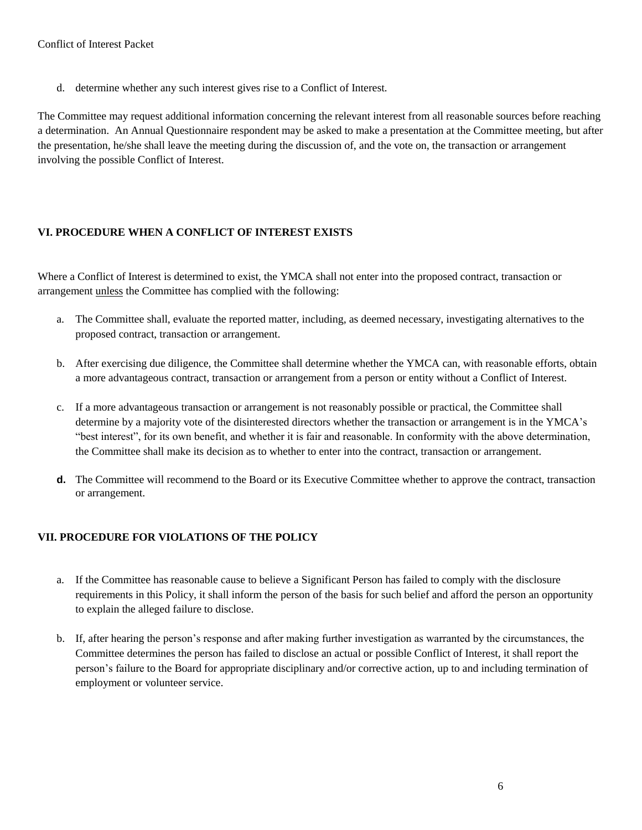d. determine whether any such interest gives rise to a Conflict of Interest.

The Committee may request additional information concerning the relevant interest from all reasonable sources before reaching a determination. An Annual Questionnaire respondent may be asked to make a presentation at the Committee meeting, but after the presentation, he/she shall leave the meeting during the discussion of, and the vote on, the transaction or arrangement involving the possible Conflict of Interest.

## **VI. PROCEDURE WHEN A CONFLICT OF INTEREST EXISTS**

Where a Conflict of Interest is determined to exist, the YMCA shall not enter into the proposed contract, transaction or arrangement unless the Committee has complied with the following:

- a. The Committee shall, evaluate the reported matter, including, as deemed necessary, investigating alternatives to the proposed contract, transaction or arrangement.
- b. After exercising due diligence, the Committee shall determine whether the YMCA can, with reasonable efforts, obtain a more advantageous contract, transaction or arrangement from a person or entity without a Conflict of Interest.
- c. If a more advantageous transaction or arrangement is not reasonably possible or practical, the Committee shall determine by a majority vote of the disinterested directors whether the transaction or arrangement is in the YMCA's "best interest", for its own benefit, and whether it is fair and reasonable. In conformity with the above determination, the Committee shall make its decision as to whether to enter into the contract, transaction or arrangement.
- **d.** The Committee will recommend to the Board or its Executive Committee whether to approve the contract, transaction or arrangement.

# **VII. PROCEDURE FOR VIOLATIONS OF THE POLICY**

- a. If the Committee has reasonable cause to believe a Significant Person has failed to comply with the disclosure requirements in this Policy, it shall inform the person of the basis for such belief and afford the person an opportunity to explain the alleged failure to disclose.
- b. If, after hearing the person's response and after making further investigation as warranted by the circumstances, the Committee determines the person has failed to disclose an actual or possible Conflict of Interest, it shall report the person's failure to the Board for appropriate disciplinary and/or corrective action, up to and including termination of employment or volunteer service.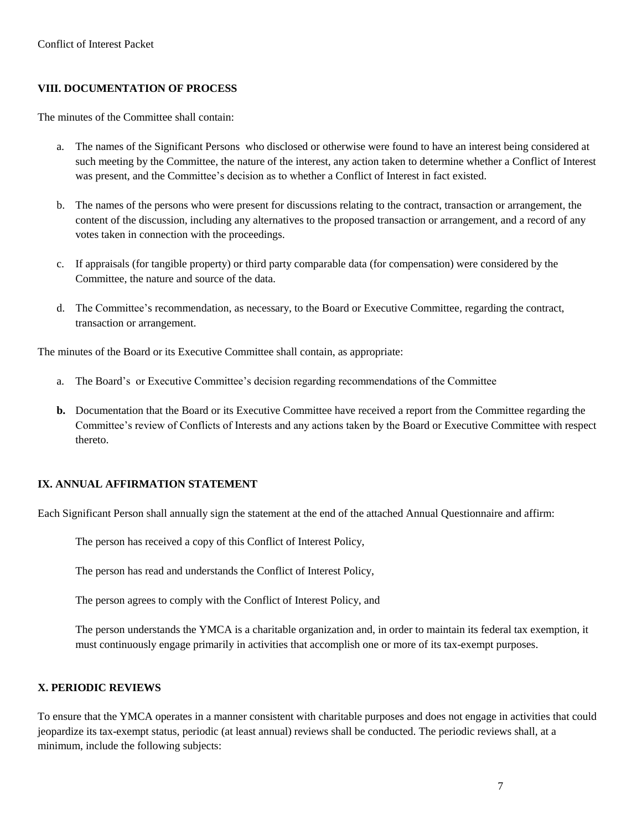# **VIII. DOCUMENTATION OF PROCESS**

The minutes of the Committee shall contain:

- a. The names of the Significant Persons who disclosed or otherwise were found to have an interest being considered at such meeting by the Committee, the nature of the interest, any action taken to determine whether a Conflict of Interest was present, and the Committee's decision as to whether a Conflict of Interest in fact existed.
- b. The names of the persons who were present for discussions relating to the contract, transaction or arrangement, the content of the discussion, including any alternatives to the proposed transaction or arrangement, and a record of any votes taken in connection with the proceedings.
- c. If appraisals (for tangible property) or third party comparable data (for compensation) were considered by the Committee, the nature and source of the data.
- d. The Committee's recommendation, as necessary, to the Board or Executive Committee, regarding the contract, transaction or arrangement.

The minutes of the Board or its Executive Committee shall contain, as appropriate:

- a. The Board's or Executive Committee's decision regarding recommendations of the Committee
- **b.** Documentation that the Board or its Executive Committee have received a report from the Committee regarding the Committee's review of Conflicts of Interests and any actions taken by the Board or Executive Committee with respect thereto.

# **IX. ANNUAL AFFIRMATION STATEMENT**

Each Significant Person shall annually sign the statement at the end of the attached Annual Questionnaire and affirm:

The person has received a copy of this Conflict of Interest Policy,

The person has read and understands the Conflict of Interest Policy,

The person agrees to comply with the Conflict of Interest Policy, and

The person understands the YMCA is a charitable organization and, in order to maintain its federal tax exemption, it must continuously engage primarily in activities that accomplish one or more of its tax-exempt purposes.

# **X. PERIODIC REVIEWS**

To ensure that the YMCA operates in a manner consistent with charitable purposes and does not engage in activities that could jeopardize its tax-exempt status, periodic (at least annual) reviews shall be conducted. The periodic reviews shall, at a minimum, include the following subjects: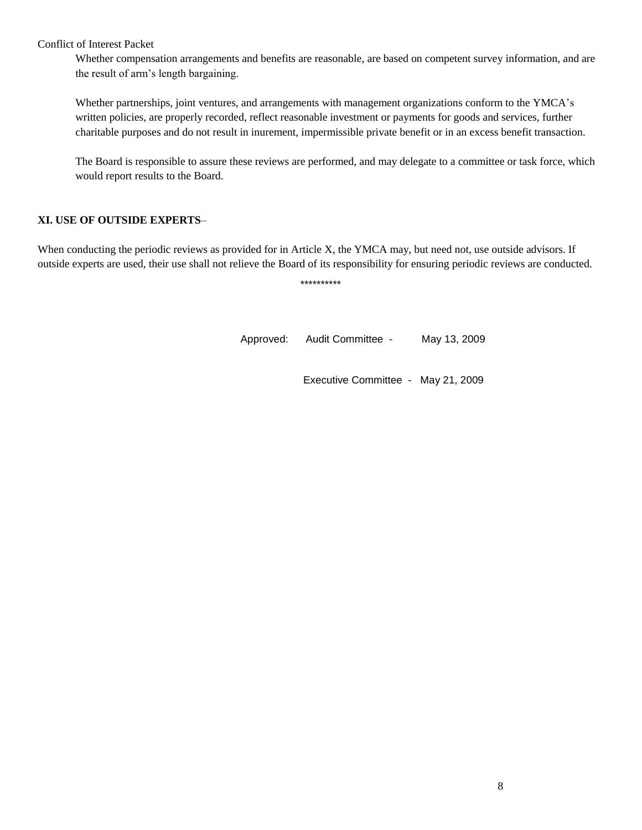Whether compensation arrangements and benefits are reasonable, are based on competent survey information, and are the result of arm's length bargaining.

Whether partnerships, joint ventures, and arrangements with management organizations conform to the YMCA's written policies, are properly recorded, reflect reasonable investment or payments for goods and services, further charitable purposes and do not result in inurement, impermissible private benefit or in an excess benefit transaction.

The Board is responsible to assure these reviews are performed, and may delegate to a committee or task force, which would report results to the Board.

#### **XI. USE OF OUTSIDE EXPERTS**–

When conducting the periodic reviews as provided for in Article X, the YMCA may, but need not, use outside advisors. If outside experts are used, their use shall not relieve the Board of its responsibility for ensuring periodic reviews are conducted.

\*\*\*\*\*\*\*\*\*\*

Approved: Audit Committee - May 13, 2009

Executive Committee - May 21, 2009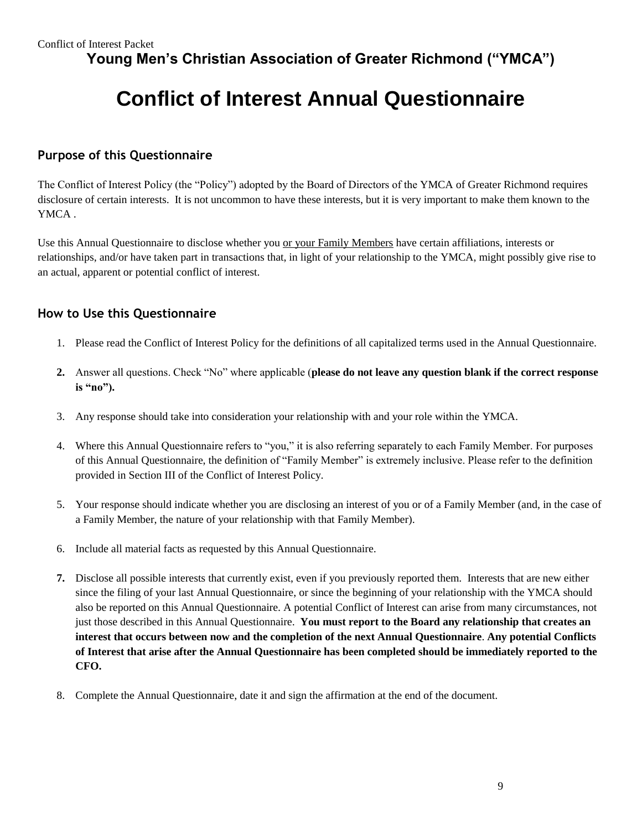**Young Men's Christian Association of Greater Richmond ("YMCA")**

# **Conflict of Interest Annual Questionnaire**

# **Purpose of this Questionnaire**

The Conflict of Interest Policy (the "Policy") adopted by the Board of Directors of the YMCA of Greater Richmond requires disclosure of certain interests. It is not uncommon to have these interests, but it is very important to make them known to the YMCA .

Use this Annual Questionnaire to disclose whether you or your Family Members have certain affiliations, interests or relationships, and/or have taken part in transactions that, in light of your relationship to the YMCA, might possibly give rise to an actual, apparent or potential conflict of interest.

# **How to Use this Questionnaire**

- 1. Please read the Conflict of Interest Policy for the definitions of all capitalized terms used in the Annual Questionnaire.
- **2.** Answer all questions. Check "No" where applicable (**please do not leave any question blank if the correct response is "no").**
- 3. Any response should take into consideration your relationship with and your role within the YMCA.
- 4. Where this Annual Questionnaire refers to "you," it is also referring separately to each Family Member. For purposes of this Annual Questionnaire, the definition of "Family Member" is extremely inclusive. Please refer to the definition provided in Section III of the Conflict of Interest Policy.
- 5. Your response should indicate whether you are disclosing an interest of you or of a Family Member (and, in the case of a Family Member, the nature of your relationship with that Family Member).
- 6. Include all material facts as requested by this Annual Questionnaire.
- **7.** Disclose all possible interests that currently exist, even if you previously reported them. Interests that are new either since the filing of your last Annual Questionnaire, or since the beginning of your relationship with the YMCA should also be reported on this Annual Questionnaire. A potential Conflict of Interest can arise from many circumstances, not just those described in this Annual Questionnaire. **You must report to the Board any relationship that creates an interest that occurs between now and the completion of the next Annual Questionnaire**. **Any potential Conflicts of Interest that arise after the Annual Questionnaire has been completed should be immediately reported to the CFO.**
- 8. Complete the Annual Questionnaire, date it and sign the affirmation at the end of the document.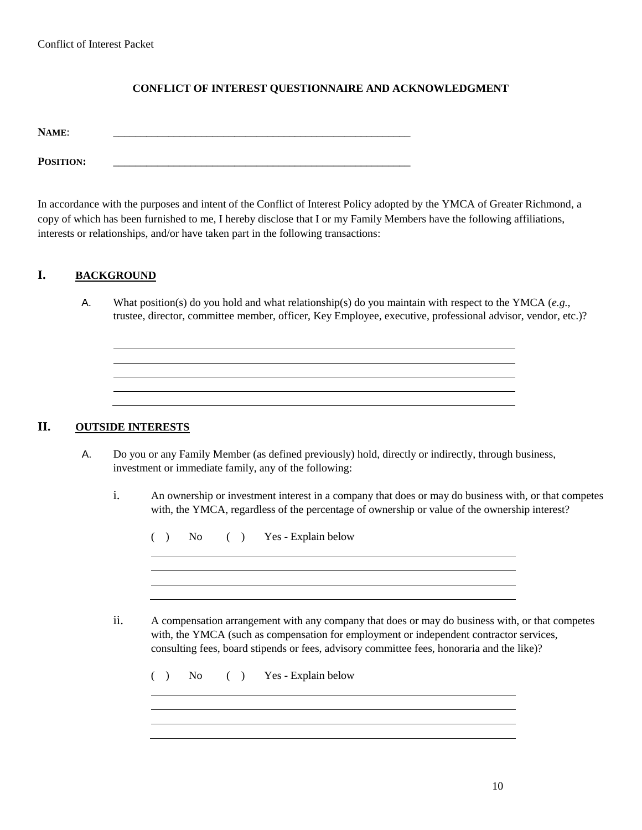#### **CONFLICT OF INTEREST QUESTIONNAIRE AND ACKNOWLEDGMENT**

**NAME**: \_\_\_\_\_\_\_\_\_\_\_\_\_\_\_\_\_\_\_\_\_\_\_\_\_\_\_\_\_\_\_\_\_\_\_\_\_\_\_\_\_\_\_\_\_\_\_\_\_\_\_\_\_\_

**POSITION:** \_\_\_\_\_\_\_\_\_\_\_\_\_\_\_\_\_\_\_\_\_\_\_\_\_\_\_\_\_\_\_\_\_\_\_\_\_\_\_\_\_\_\_\_\_\_\_\_\_\_\_\_\_\_

In accordance with the purposes and intent of the Conflict of Interest Policy adopted by the YMCA of Greater Richmond, a copy of which has been furnished to me, I hereby disclose that I or my Family Members have the following affiliations, interests or relationships, and/or have taken part in the following transactions:

#### **I. BACKGROUND**

A. What position(s) do you hold and what relationship(s) do you maintain with respect to the YMCA (*e.g.*, trustee, director, committee member, officer, Key Employee, executive, professional advisor, vendor, etc.)?

### **II. OUTSIDE INTERESTS**

- A. Do you or any Family Member (as defined previously) hold, directly or indirectly, through business, investment or immediate family, any of the following:
	- i. An ownership or investment interest in a company that does or may do business with, or that competes with, the YMCA, regardless of the percentage of ownership or value of the ownership interest?

( ) No ( ) Yes - Explain below

ii. A compensation arrangement with any company that does or may do business with, or that competes with, the YMCA (such as compensation for employment or independent contractor services, consulting fees, board stipends or fees, advisory committee fees, honoraria and the like)?

( ) No ( ) Yes - Explain below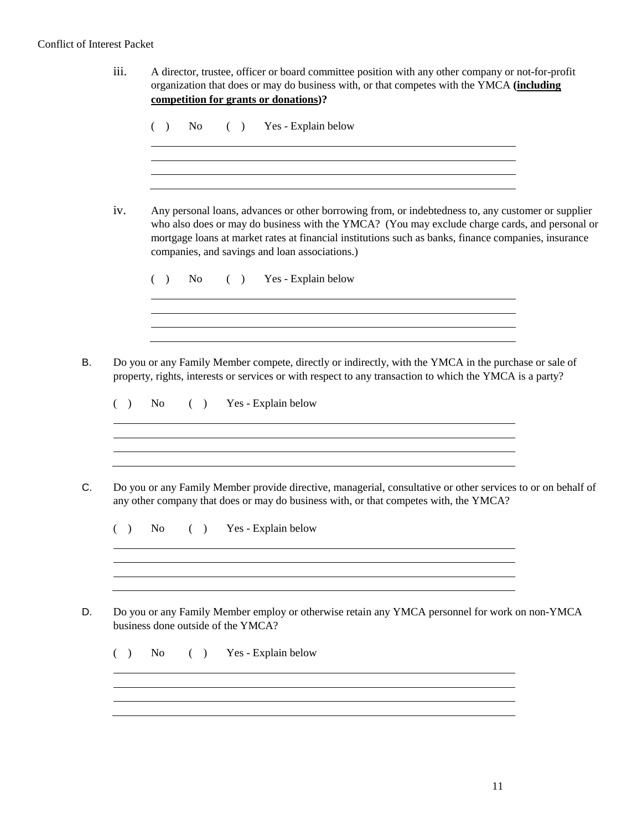| iii. | A director, trustee, officer or board committee position with any other company or not-for-profit<br>organization that does or may do business with, or that competes with the YMCA (including<br>competition for grants or donations)?                                                                                                                        |  |  |  |  |  |  |  |  |  |  |  |
|------|----------------------------------------------------------------------------------------------------------------------------------------------------------------------------------------------------------------------------------------------------------------------------------------------------------------------------------------------------------------|--|--|--|--|--|--|--|--|--|--|--|
|      | $( )$ Yes - Explain below<br>No<br>( )                                                                                                                                                                                                                                                                                                                         |  |  |  |  |  |  |  |  |  |  |  |
| iv.  | Any personal loans, advances or other borrowing from, or indebtedness to, any customer or supplier<br>who also does or may do business with the YMCA? (You may exclude charge cards, and personal or<br>mortgage loans at market rates at financial institutions such as banks, finance companies, insurance<br>companies, and savings and loan associations.) |  |  |  |  |  |  |  |  |  |  |  |
|      | ( ) Yes - Explain below<br>No.<br>( )                                                                                                                                                                                                                                                                                                                          |  |  |  |  |  |  |  |  |  |  |  |
|      |                                                                                                                                                                                                                                                                                                                                                                |  |  |  |  |  |  |  |  |  |  |  |
|      |                                                                                                                                                                                                                                                                                                                                                                |  |  |  |  |  |  |  |  |  |  |  |
|      | Do you or any Family Member compete, directly or indirectly, with the YMCA in the purchase or sale of<br>property, rights, interests or services or with respect to any transaction to which the YMCA is a party?                                                                                                                                              |  |  |  |  |  |  |  |  |  |  |  |
| ( )  | ( ) Yes - Explain below<br>No.                                                                                                                                                                                                                                                                                                                                 |  |  |  |  |  |  |  |  |  |  |  |
|      |                                                                                                                                                                                                                                                                                                                                                                |  |  |  |  |  |  |  |  |  |  |  |
|      | any other company that does or may do business with, or that competes with, the YMCA?                                                                                                                                                                                                                                                                          |  |  |  |  |  |  |  |  |  |  |  |
|      | ( ) Yes - Explain below<br>No                                                                                                                                                                                                                                                                                                                                  |  |  |  |  |  |  |  |  |  |  |  |
|      | Do you or any Family Member provide directive, managerial, consultative or other services to or on behalf of                                                                                                                                                                                                                                                   |  |  |  |  |  |  |  |  |  |  |  |
|      | Do you or any Family Member employ or otherwise retain any YMCA personnel for work on non-YMCA<br>business done outside of the YMCA?                                                                                                                                                                                                                           |  |  |  |  |  |  |  |  |  |  |  |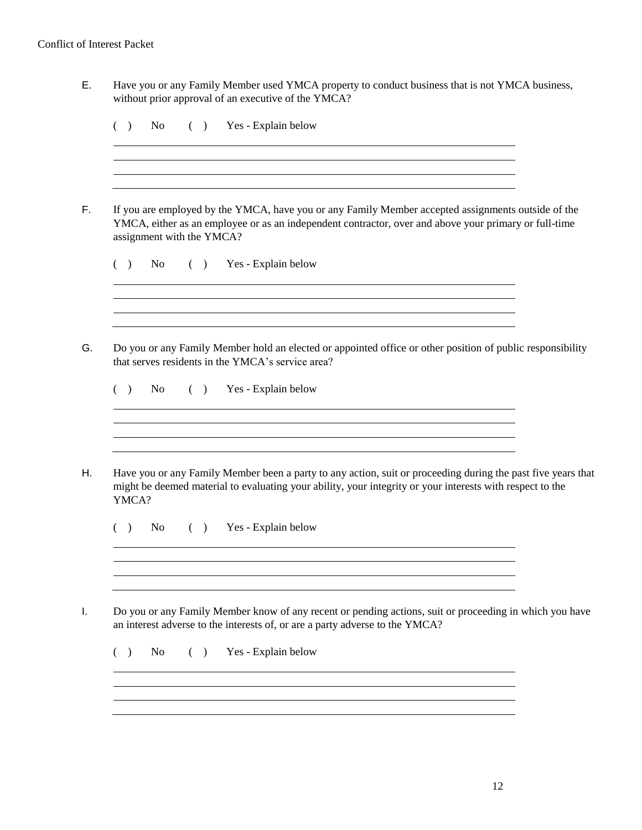E. Have you or any Family Member used YMCA property to conduct business that is not YMCA business, without prior approval of an executive of the YMCA?

|       |     |            | assignment with the YMCA? |                                                   |                     |                                                                                                                        |  |  |  | If you are employed by the YMCA, have you or any Family Member accepted assignments outside of the<br>YMCA, either as an employee or as an independent contractor, over and above your primary or full-time               |  |
|-------|-----|------------|---------------------------|---------------------------------------------------|---------------------|------------------------------------------------------------------------------------------------------------------------|--|--|--|---------------------------------------------------------------------------------------------------------------------------------------------------------------------------------------------------------------------------|--|
| ( )   | No. |            | (                         | Yes - Explain below                               |                     |                                                                                                                        |  |  |  |                                                                                                                                                                                                                           |  |
|       |     |            |                           | that serves residents in the YMCA's service area? |                     | and the control of the control of the control of the control of the control of the control of the control of the       |  |  |  | Do you or any Family Member hold an elected or appointed office or other position of public responsibility                                                                                                                |  |
| $($ ) |     | No results |                           | ( ) Yes - Explain below                           |                     |                                                                                                                        |  |  |  |                                                                                                                                                                                                                           |  |
| YMCA? |     |            |                           |                                                   |                     | <u> 1989 - Johann Stoff, deutscher Stoffen und der Stoffen und der Stoffen und der Stoffen und der Stoffen und der</u> |  |  |  | Have you or any Family Member been a party to any action, suit or proceeding during the past five years that<br>might be deemed material to evaluating your ability, your integrity or your interests with respect to the |  |
| (     |     | No results | (                         |                                                   | Yes - Explain below |                                                                                                                        |  |  |  |                                                                                                                                                                                                                           |  |
|       |     |            |                           |                                                   |                     |                                                                                                                        |  |  |  |                                                                                                                                                                                                                           |  |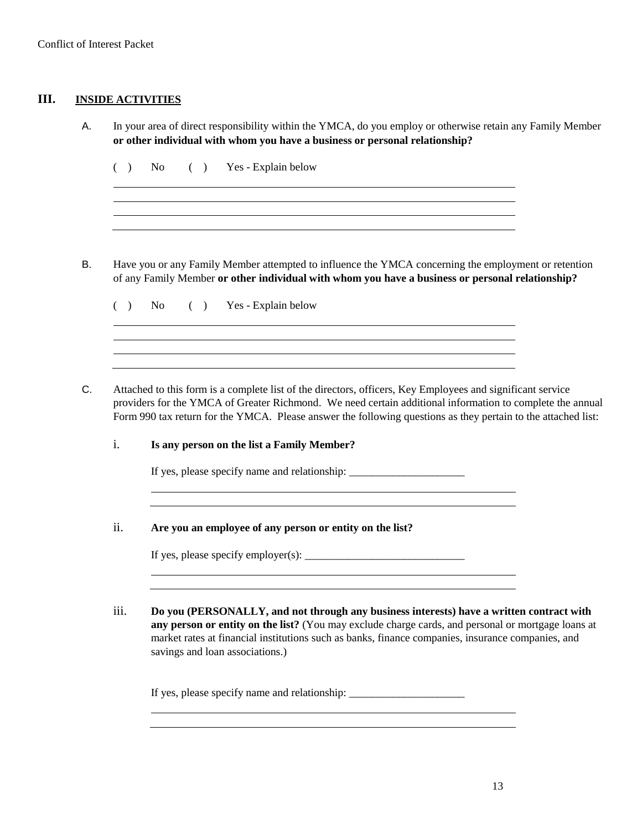### **III. INSIDE ACTIVITIES**

A. In your area of direct responsibility within the YMCA, do you employ or otherwise retain any Family Member **or other individual with whom you have a business or personal relationship?**

( ) No ( ) Yes - Explain below

B. Have you or any Family Member attempted to influence the YMCA concerning the employment or retention of any Family Member **or other individual with whom you have a business or personal relationship?**

( ) No ( ) Yes - Explain below

C. Attached to this form is a complete list of the directors, officers, Key Employees and significant service providers for the YMCA of Greater Richmond. We need certain additional information to complete the annual Form 990 tax return for the YMCA. Please answer the following questions as they pertain to the attached list:

i. **Is any person on the list a Family Member?**

If yes, please specify name and relationship: \_\_\_\_\_\_\_\_\_\_\_\_\_\_\_\_\_\_\_\_\_\_\_\_\_\_\_\_\_\_\_\_\_\_

ii. **Are you an employee of any person or entity on the list?**

If yes, please specify employer(s):  $\qquad \qquad$ 

iii. **Do you (PERSONALLY, and not through any business interests) have a written contract with any person or entity on the list?** (You may exclude charge cards, and personal or mortgage loans at market rates at financial institutions such as banks, finance companies, insurance companies, and savings and loan associations.)

If yes, please specify name and relationship: \_\_\_\_\_\_\_\_\_\_\_\_\_\_\_\_\_\_\_\_\_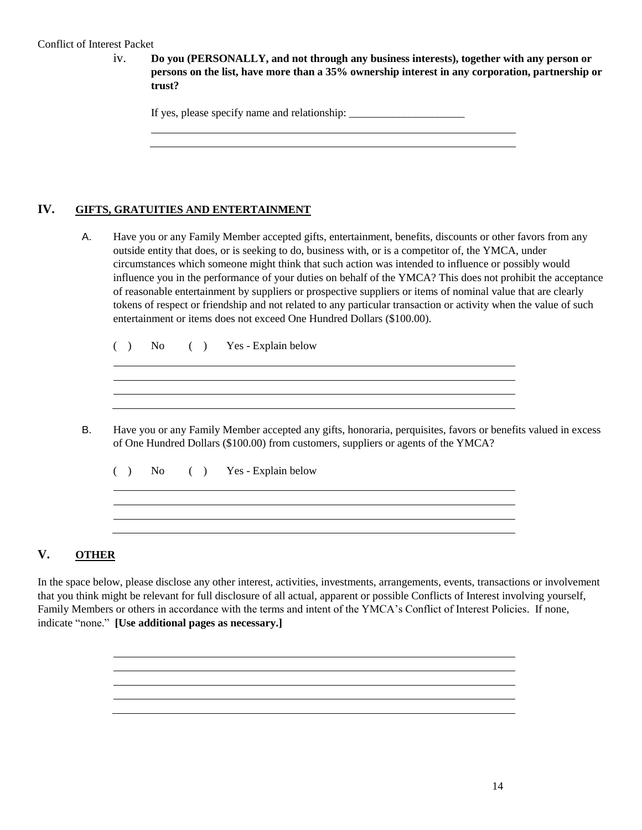iv. **Do you (PERSONALLY, and not through any business interests), together with any person or persons on the list, have more than a 35% ownership interest in any corporation, partnership or trust?**

If yes, please specify name and relationship:

#### **IV. GIFTS, GRATUITIES AND ENTERTAINMENT**

A. Have you or any Family Member accepted gifts, entertainment, benefits, discounts or other favors from any outside entity that does, or is seeking to do, business with, or is a competitor of, the YMCA, under circumstances which someone might think that such action was intended to influence or possibly would influence you in the performance of your duties on behalf of the YMCA? This does not prohibit the acceptance of reasonable entertainment by suppliers or prospective suppliers or items of nominal value that are clearly tokens of respect or friendship and not related to any particular transaction or activity when the value of such entertainment or items does not exceed One Hundred Dollars (\$100.00).

( ) No ( ) Yes - Explain below

B. Have you or any Family Member accepted any gifts, honoraria, perquisites, favors or benefits valued in excess of One Hundred Dollars (\$100.00) from customers, suppliers or agents of the YMCA?

( ) No ( ) Yes - Explain below

#### **V. OTHER**

In the space below, please disclose any other interest, activities, investments, arrangements, events, transactions or involvement that you think might be relevant for full disclosure of all actual, apparent or possible Conflicts of Interest involving yourself, Family Members or others in accordance with the terms and intent of the YMCA's Conflict of Interest Policies. If none, indicate "none." **[Use additional pages as necessary.]**